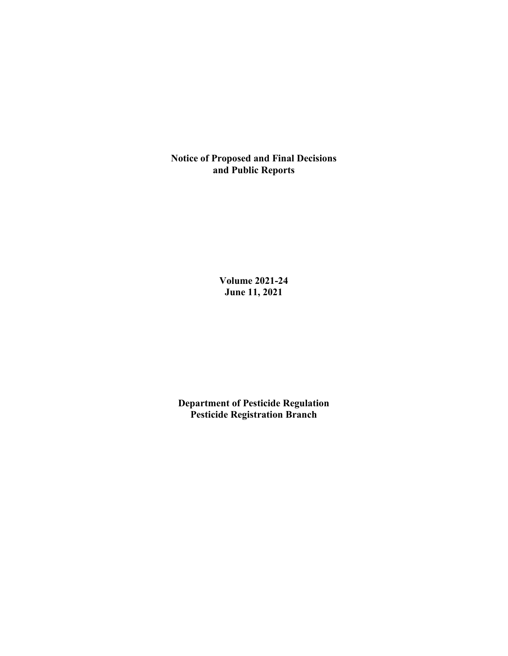**Notice of Proposed and Final Decisions and Public Reports**

> **Volume 2021-24 June 11, 2021**

**Department of Pesticide Regulation Pesticide Registration Branch**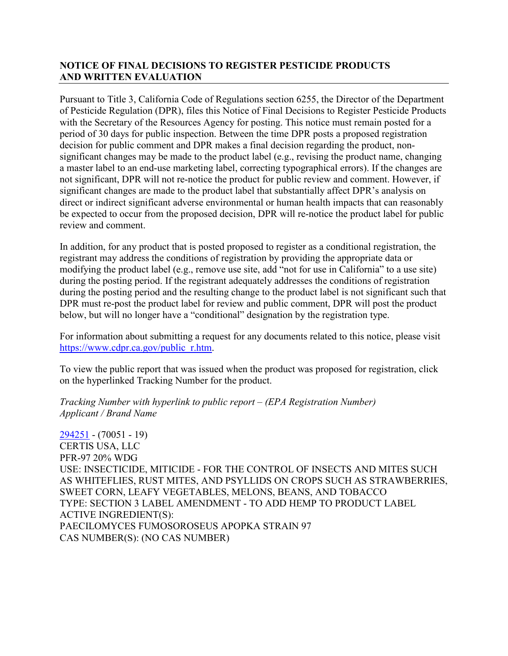# **NOTICE OF FINAL DECISIONS TO REGISTER PESTICIDE PRODUCTS AND WRITTEN EVALUATION**

Pursuant to Title 3, California Code of Regulations section 6255, the Director of the Department of Pesticide Regulation (DPR), files this Notice of Final Decisions to Register Pesticide Products with the Secretary of the Resources Agency for posting. This notice must remain posted for a period of 30 days for public inspection. Between the time DPR posts a proposed registration decision for public comment and DPR makes a final decision regarding the product, nonsignificant changes may be made to the product label (e.g., revising the product name, changing a master label to an end-use marketing label, correcting typographical errors). If the changes are not significant, DPR will not re-notice the product for public review and comment. However, if significant changes are made to the product label that substantially affect DPR's analysis on direct or indirect significant adverse environmental or human health impacts that can reasonably be expected to occur from the proposed decision, DPR will re-notice the product label for public review and comment.

In addition, for any product that is posted proposed to register as a conditional registration, the registrant may address the conditions of registration by providing the appropriate data or modifying the product label (e.g., remove use site, add "not for use in California" to a use site) during the posting period. If the registrant adequately addresses the conditions of registration during the posting period and the resulting change to the product label is not significant such that DPR must re-post the product label for review and public comment, DPR will post the product below, but will no longer have a "conditional" designation by the registration type.

For information about submitting a request for any documents related to this notice, please visit [https://www.cdpr.ca.gov/public\\_r.htm.](https://www.cdpr.ca.gov/public_r.htm)

To view the public report that was issued when the product was proposed for registration, click on the hyperlinked Tracking Number for the product.

## *Tracking Number with hyperlink to public report – (EPA Registration Number) Applicant / Brand Name*

[294251](https://www.cdpr.ca.gov/docs/registration/nod/public_reports/294251.pdf) - (70051 - 19) CERTIS USA, LLC PFR-97 20% WDG USE: INSECTICIDE, MITICIDE - FOR THE CONTROL OF INSECTS AND MITES SUCH AS WHITEFLIES, RUST MITES, AND PSYLLIDS ON CROPS SUCH AS STRAWBERRIES, SWEET CORN, LEAFY VEGETABLES, MELONS, BEANS, AND TOBACCO TYPE: SECTION 3 LABEL AMENDMENT - TO ADD HEMP TO PRODUCT LABEL ACTIVE INGREDIENT(S): PAECILOMYCES FUMOSOROSEUS APOPKA STRAIN 97 CAS NUMBER(S): (NO CAS NUMBER)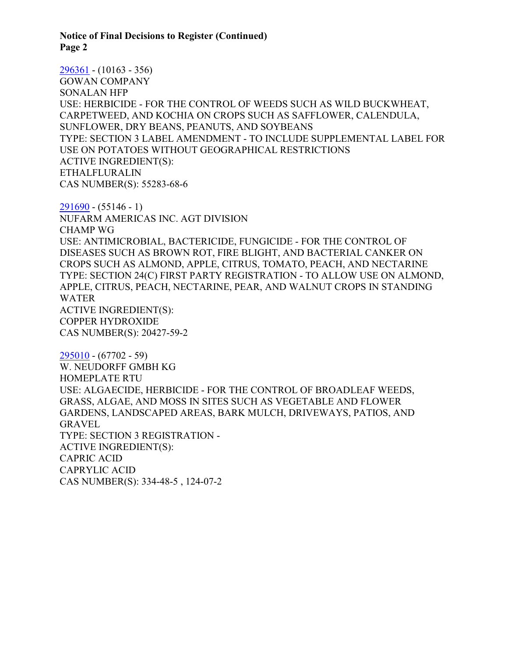**Notice of Final Decisions to Register (Continued) Page 2**

[296361](https://www.cdpr.ca.gov/docs/registration/nod/public_reports/296361.pdf) - (10163 - 356) GOWAN COMPANY SONALAN HFP USE: HERBICIDE - FOR THE CONTROL OF WEEDS SUCH AS WILD BUCKWHEAT, CARPETWEED, AND KOCHIA ON CROPS SUCH AS SAFFLOWER, CALENDULA, SUNFLOWER, DRY BEANS, PEANUTS, AND SOYBEANS TYPE: SECTION 3 LABEL AMENDMENT - TO INCLUDE SUPPLEMENTAL LABEL FOR USE ON POTATOES WITHOUT GEOGRAPHICAL RESTRICTIONS ACTIVE INGREDIENT(S): ETHALFLURALIN CAS NUMBER(S): 55283-68-6

 $291690 - (55146 - 1)$  $291690 - (55146 - 1)$ NUFARM AMERICAS INC. AGT DIVISION CHAMP WG USE: ANTIMICROBIAL, BACTERICIDE, FUNGICIDE - FOR THE CONTROL OF DISEASES SUCH AS BROWN ROT, FIRE BLIGHT, AND BACTERIAL CANKER ON CROPS SUCH AS ALMOND, APPLE, CITRUS, TOMATO, PEACH, AND NECTARINE TYPE: SECTION 24(C) FIRST PARTY REGISTRATION - TO ALLOW USE ON ALMOND, APPLE, CITRUS, PEACH, NECTARINE, PEAR, AND WALNUT CROPS IN STANDING WATER ACTIVE INGREDIENT(S): COPPER HYDROXIDE CAS NUMBER(S): 20427-59-2

[295010](https://www.cdpr.ca.gov/docs/registration/nod/public_reports/295010.pdf) - (67702 - 59) W. NEUDORFF GMBH KG HOMEPLATE RTU USE: ALGAECIDE, HERBICIDE - FOR THE CONTROL OF BROADLEAF WEEDS, GRASS, ALGAE, AND MOSS IN SITES SUCH AS VEGETABLE AND FLOWER GARDENS, LANDSCAPED AREAS, BARK MULCH, DRIVEWAYS, PATIOS, AND GRAVEL TYPE: SECTION 3 REGISTRATION - ACTIVE INGREDIENT(S): CAPRIC ACID CAPRYLIC ACID CAS NUMBER(S): 334-48-5 , 124-07-2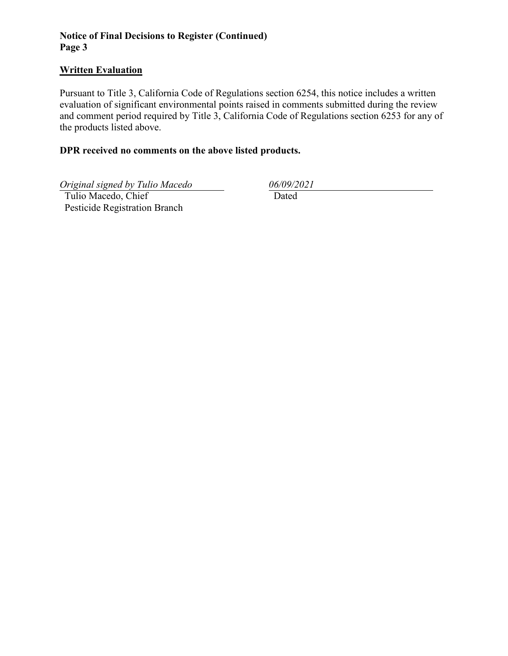# **Notice of Final Decisions to Register (Continued) Page 3**

### **Written Evaluation**

Pursuant to Title 3, California Code of Regulations section 6254, this notice includes a written evaluation of significant environmental points raised in comments submitted during the review and comment period required by Title 3, California Code of Regulations section 6253 for any of the products listed above.

## **DPR received no comments on the above listed products.**

*Original signed by Tulio Macedo 06/09/2021*

 Tulio Macedo, Chief Pesticide Registration Branch Dated